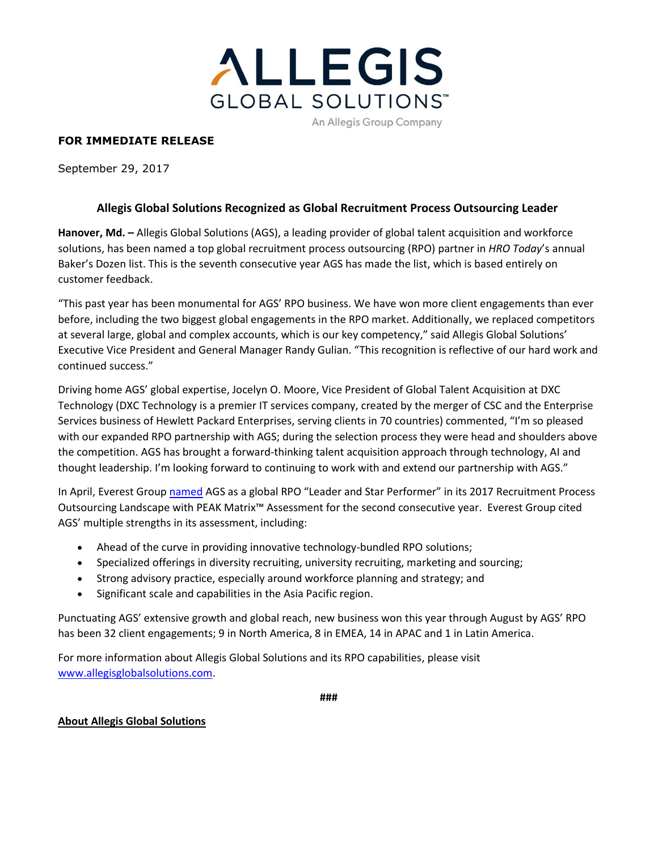

## **FOR IMMEDIATE RELEASE**

September 29, 2017

## **Allegis Global Solutions Recognized as Global Recruitment Process Outsourcing Leader**

**Hanover, Md. –** Allegis Global Solutions (AGS), a leading provider of global talent acquisition and workforce solutions, has been named a top global recruitment process outsourcing (RPO) partner in *HRO Today*'s annual Baker's Dozen list. This is the seventh consecutive year AGS has made the list, which is based entirely on customer feedback.

"This past year has been monumental for AGS' RPO business. We have won more client engagements than ever before, including the two biggest global engagements in the RPO market. Additionally, we replaced competitors at several large, global and complex accounts, which is our key competency," said Allegis Global Solutions' Executive Vice President and General Manager Randy Gulian. "This recognition is reflective of our hard work and continued success."

Driving home AGS' global expertise, Jocelyn O. Moore, Vice President of Global Talent Acquisition at DXC Technology (DXC Technology is a premier IT services company, created by the merger of CSC and the Enterprise Services business of Hewlett Packard Enterprises, serving clients in 70 countries) commented, "I'm so pleased with our expanded RPO partnership with AGS; during the selection process they were head and shoulders above the competition. AGS has brought a forward-thinking talent acquisition approach through technology, AI and thought leadership. I'm looking forward to continuing to work with and extend our partnership with AGS."

In April, Everest Grou[p named](https://www.allegisglobalsolutions.com/news-events/press-releases/press-release-items/ags-named-rpo-leader-and-star-performer-in-everest-group-2017-peak-matrix-assessment) AGS as a global RPO "Leader and Star Performer" in its 2017 Recruitment Process Outsourcing Landscape with PEAK Matrix™ Assessment for the second consecutive year. Everest Group cited AGS' multiple strengths in its assessment, including:

- Ahead of the curve in providing innovative technology-bundled RPO solutions;
- Specialized offerings in diversity recruiting, university recruiting, marketing and sourcing;
- Strong advisory practice, especially around workforce planning and strategy; and
- Significant scale and capabilities in the Asia Pacific region.

Punctuating AGS' extensive growth and global reach, new business won this year through August by AGS' RPO has been 32 client engagements; 9 in North America, 8 in EMEA, 14 in APAC and 1 in Latin America.

For more information about Allegis Global Solutions and its RPO capabilities, please visit [www.allegisglobalsolutions.com.](http://www.allegisglobalsolutions.com/)

**###**

## **About Allegis Global Solutions**